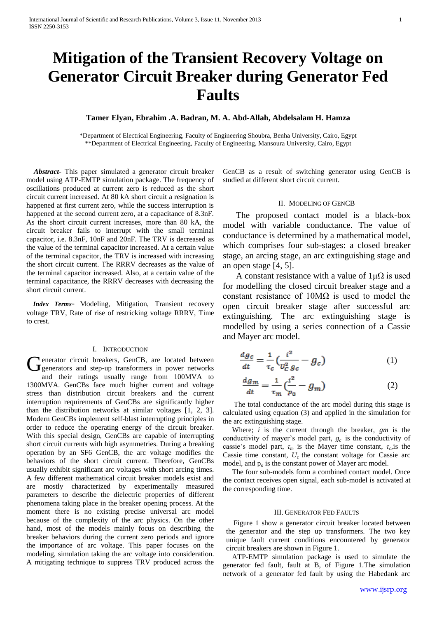# **Mitigation of the Transient Recovery Voltage on Generator Circuit Breaker during Generator Fed Faults**

# **Tamer Elyan, Ebrahim .A. Badran, M. A. Abd-Allah, Abdelsalam H. Hamza**

\*Department of Electrical Engineering, Faculty of Engineering Shoubra, Benha University, Cairo, Egypt \*\*Department of Electrical Engineering, Faculty of Engineering, Mansoura University, Cairo, Egypt

 *Abstract*- This paper simulated a generator circuit breaker model using ATP-EMTP simulation package. The frequency of oscillations produced at current zero is reduced as the short circuit current increased. At 80 kA short circuit a resignation is happened at first current zero, while the success interruption is happened at the second current zero, at a capacitance of 8.3nF. As the short circuit current increases, more than 80 kA, the circuit breaker fails to interrupt with the small terminal capacitor, i.e. 8.3nF, 10nF and 20nF. The TRV is decreased as the value of the terminal capacitor increased. At a certain value of the terminal capacitor, the TRV is increased with increasing the short circuit current. The RRRV decreases as the value of the terminal capacitor increased. Also, at a certain value of the terminal capacitance, the RRRV decreases with decreasing the short circuit current.

 *Index Terms*- Modeling, Mitigation, Transient recovery voltage TRV, Rate of rise of restricking voltage RRRV, Time to crest.

## I. INTRODUCTION

enerator circuit breakers, GenCB, are located between Generator circuit breakers, GenCB, are located between<br>Generators and step-up transformers in power networks and their ratings usually range from 100MVA to 1300MVA. GenCBs face much higher current and voltage stress than distribution circuit breakers and the current interruption requirements of GenCBs are significantly higher than the distribution networks at similar voltages [1, 2, 3]. Modern GenCBs implement self-blast interrupting principles in order to reduce the operating energy of the circuit breaker. With this special design, GenCBs are capable of interrupting short circuit currents with high asymmetries. During a breaking operation by an SF6 GenCB, the arc voltage modifies the behaviors of the short circuit current. Therefore, GenCBs usually exhibit significant arc voltages with short arcing times. A few different mathematical circuit breaker models exist and are mostly characterized by experimentally measured parameters to describe the dielectric properties of different phenomena taking place in the breaker opening process. At the moment there is no existing precise universal arc model because of the complexity of the arc physics. On the other hand, most of the models mainly focus on describing the breaker behaviors during the current zero periods and ignore the importance of arc voltage. This paper focuses on the modeling, simulation taking the arc voltage into consideration. A mitigating technique to suppress TRV produced across the

GenCB as a result of switching generator using GenCB is studied at different short circuit current.

#### II. MODELING OF GENCB

 The proposed contact model is a black-box model with variable conductance. The value of conductance is determined by a mathematical model, which comprises four sub-stages: a closed breaker stage, an arcing stage, an arc extinguishing stage and an open stage [4, 5].

A constant resistance with a value of  $1\mu\Omega$  is used for modelling the closed circuit breaker stage and a constant resistance of  $10M\Omega$  is used to model the open circuit breaker stage after successful arc extinguishing. The arc extinguishing stage is modelled by using a series connection of a Cassie and Mayer arc model.

$$
\frac{dg_c}{dt} = \frac{1}{\tau_c} \left( \frac{i^2}{U_C^2 g_c} - g_c \right) \tag{1}
$$

$$
\frac{dg_m}{dt} = \frac{1}{\tau_m} \left( \frac{i^2}{p_0} - g_m \right) \tag{2}
$$

 The total conductance of the arc model during this stage is calculated using equation (3) and applied in the simulation for the arc extinguishing stage.

 Where; *i* is the current through the breaker, *gm* is the conductivity of mayer's model part, *gc* is the conductivity of cassie's model part,  $\tau_m$  is the Mayer time constant,  $\tau_c$ , is the Cassie time constant,  $U_c$  the constant voltage for Cassie arc model, and  $p_0$  is the constant power of Mayer arc model.

 The four sub-models form a combined contact model. Once the contact receives open signal, each sub-model is activated at the corresponding time.

#### III. GENERATOR FED FAULTS

 Figure 1 show a generator circuit breaker located between the generator and the step up transformers. The two key unique fault current conditions encountered by generator circuit breakers are shown in Figure 1.

 ATP-EMTP simulation package is used to simulate the generator fed fault, fault at B, of Figure 1.The simulation network of a generator fed fault by using the Habedank arc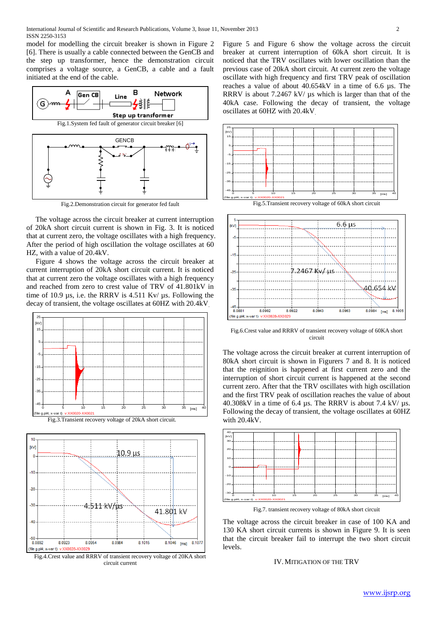model for modelling the circuit breaker is shown in Figure 2 [6]. There is usually a cable connected between the GenCB and the step up transformer, hence the demonstration circuit comprises a voltage source, a GenCB, a cable and a fault initiated at the end of the cable.



Fig.2.Demonstration circuit for generator fed fault

 The voltage across the circuit breaker at current interruption of 20kA short circuit current is shown in Fig. 3. It is noticed that at current zero, the voltage oscillates with a high frequency. After the period of high oscillation the voltage oscillates at 60 HZ, with a value of 20.4kV.

 Figure 4 shows the voltage across the circuit breaker at current interruption of 20kA short circuit current. It is noticed that at current zero the voltage oscillates with a high frequency and reached from zero to crest value of TRV of 41.801kV in time of 10.9 µs, i.e. the RRRV is 4.511 Kv/ µs. Following the decay of transient, the voltage oscillates at 60HZ with 20.4kV.



Fig.3.Transient recovery voltage of 20kA short circuit.



Fig.4.Crest value and RRRV of transient recovery voltage of 20KA short circuit current

Figure 5 and Figure 6 show the voltage across the circuit breaker at current interruption of 60kA short circuit. It is noticed that the TRV oscillates with lower oscillation than the previous case of 20kA short circuit. At current zero the voltage oscillate with high frequency and first TRV peak of oscillation reaches a value of about 40.654kV in a time of 6.6 µs. The RRRV is about 7.2467 kV/ us which is larger than that of the 40kA case. Following the decay of transient, the voltage oscillates at 60HZ with 20.4kV.





Fig.6.Crest value and RRRV of transient recovery voltage of 60KA short circuit

The voltage across the circuit breaker at current interruption of 80kA short circuit is shown in Figurers 7 and 8. It is noticed that the reignition is happened at first current zero and the interruption of short circuit current is happened at the second current zero. After that the TRV oscillates with high oscillation and the first TRV peak of oscillation reaches the value of about 40.308kV in a time of 6.4  $\mu$ s. The RRRV is about 7.4 kV/ $\mu$ s. Following the decay of transient, the voltage oscillates at 60HZ with 20.4kV.



Fig.7. transient recovery voltage of 80kA short circuit

The voltage across the circuit breaker in case of 100 KA and 130 KA short circuit currents is shown in Figure 9. It is seen that the circuit breaker fail to interrupt the two short circuit levels.

IV.MITIGATION OF THE TRV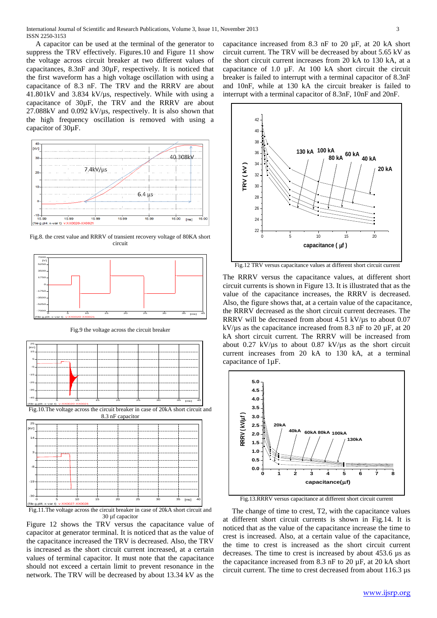A capacitor can be used at the terminal of the generator to suppress the TRV effectively. Figures.10 and Figure 11 show the voltage across circuit breaker at two different values of capacitances, 8.3nF and 30µF, respectively. It is noticed that the first waveform has a high voltage oscillation with using a capacitance of 8.3 nF. The TRV and the RRRV are about 41.801kV and 3.834 kV/µs, respectively. While with using a capacitance of 30µF, the TRV and the RRRV are about  $27.088kV$  and  $0.092$  kV/ $\mu$ s, respectively. It is also shown that the high frequency oscillation is removed with using a capacitor of 30µF.



Fig.8. the crest value and RRRV of transient recovery voltage of 80KA short circuit



Fig.9 the voltage across the circuit breaker



30 µf capacitor

Figure 12 shows the TRV versus the capacitance value of capacitor at generator terminal. It is noticed that as the value of the capacitance increased the TRV is decreased. Also, the TRV is increased as the short circuit current increased, at a certain values of terminal capacitor. It must note that the capacitance should not exceed a certain limit to prevent resonance in the network. The TRV will be decreased by about 13.34 kV as the

capacitance increased from 8.3 nF to 20 µF, at 20 kA short circuit current. The TRV will be decreased by about 5.65 kV as the short circuit current increases from 20 kA to 130 kA, at a capacitance of 1.0 µF. At 100 kA short circuit the circuit breaker is failed to interrupt with a terminal capacitor of 8.3nF and 10nF, while at 130 kA the circuit breaker is failed to interrupt with a terminal capacitor of 8.3nF, 10nF and 20nF.



Fig.12 TRV versus capacitance values at different short circuit current

The RRRV versus the capacitance values, at different short circuit currents is shown in Figure 13. It is illustrated that as the value of the capacitance increases, the RRRV is decreased. Also, the figure shows that, at a certain value of the capacitance, the RRRV decreased as the short circuit current decreases. The RRRV will be decreased from about 4.51 kV/us to about 0.07 kV/ $\mu$ s as the capacitance increased from 8.3 nF to 20  $\mu$ F, at 20 kA short circuit current. The RRRV will be increased from about 0.27 kV/ $\mu$ s to about 0.87 kV/ $\mu$ s as the short circuit current increases from 20 kA to 130 kA, at a terminal capacitance of 1µF.



Fig.13.RRRV versus capacitance at different short circuit current

 The change of time to crest, T2, with the capacitance values at different short circuit currents is shown in Fig.14. It is noticed that as the value of the capacitance increase the time to crest is increased. Also, at a certain value of the capacitance, the time to crest is increased as the short circuit current decreases. The time to crest is increased by about 453.6 µs as the capacitance increased from 8.3 nF to 20  $\mu$ F, at 20 kA short circuit current. The time to crest decreased from about 116.3 µs